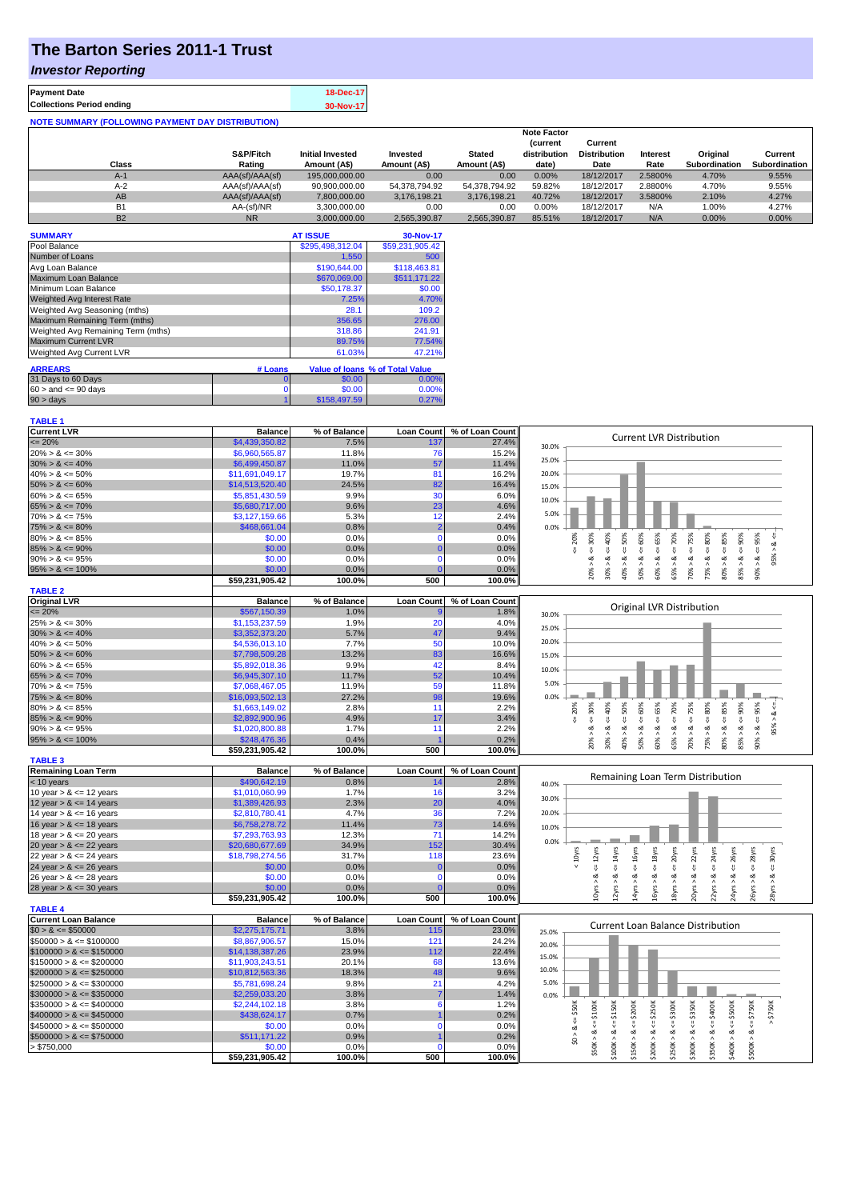# **The Barton Series 2011-1 Trust**

### *Investor Reporting*

| <b>Payment Date</b>                                      | 18-Dec-17 |
|----------------------------------------------------------|-----------|
| <b>Collections Period ending</b>                         | 30-Nov-17 |
| <b>NOTE SUMMARY (FOLLOWING PAYMENT DAY DISTRIBUTION)</b> |           |

|           |                 |                         |               |               | <b>Note Factor</b> |                     |                 |               |               |
|-----------|-----------------|-------------------------|---------------|---------------|--------------------|---------------------|-----------------|---------------|---------------|
|           |                 |                         |               |               | <b>Current</b>     | Current             |                 |               |               |
|           | S&P/Fitch       | <b>Initial Invested</b> | Invested      | <b>Stated</b> | distribution       | <b>Distribution</b> | <b>Interest</b> | Original      | Current       |
| Class     | Rating          | Amount (A\$)            | Amount (A\$)  | Amount (A\$)  | date)              | Date                | Rate            | Subordination | Subordination |
| $A-1$     | AAA(sf)/AAA(sf) | 195,000,000,00          | 0.00          | 0.00          | 0.00%              | 18/12/2017          | 2.5800%         | 4.70%         | 9.55%         |
| $A-2$     | AAA(sf)/AAA(sf) | 90,900,000.00           | 54.378.794.92 | 54.378.794.92 | 59.82%             | 18/12/2017          | 2.8800%         | 4.70%         | 9.55%         |
| AB        | AAA(sf)/AAA(sf) | 7.800.000.00            | 3.176.198.21  | 3.176.198.21  | 40.72%             | 18/12/2017          | 3.5800%         | 2.10%         | 4.27%         |
| B1        | AA-(sf)/NR      | 3.300.000.00            | 0.00          | 0.00          | $0.00\%$           | 18/12/2017          | N/A             | 1.00%         | 4.27%         |
| <b>B2</b> | <b>NR</b>       | 3.000.000.00            | 2.565.390.87  | 2.565.390.87  | 85.51%             | 18/12/2017          | N/A             | $0.00\%$      | 0.00%         |

| <b>SUMMARY</b>                     |         | <b>AT ISSUE</b>  | 30-Nov-17                       |
|------------------------------------|---------|------------------|---------------------------------|
| Pool Balance                       |         | \$295,498,312.04 | \$59,231,905.42                 |
| Number of Loans                    |         | 1,550            | 500                             |
| Avg Loan Balance                   |         | \$190,644.00     | \$118,463.81                    |
| Maximum Loan Balance               |         | \$670,069.00     | \$511,171.22                    |
| Minimum Loan Balance               |         | \$50,178.37      | \$0.00                          |
| <b>Weighted Avg Interest Rate</b>  |         | 7.25%            | 4.70%                           |
| Weighted Avg Seasoning (mths)      |         | 28.1             | 109.2                           |
| Maximum Remaining Term (mths)      |         | 356.65           | 276.00                          |
| Weighted Avg Remaining Term (mths) |         | 318.86           | 241.91                          |
| <b>Maximum Current LVR</b>         |         | 89.75%           | 77.54%                          |
| Weighted Avg Current LVR           |         | 61.03%           | 47.21%                          |
|                                    |         |                  |                                 |
| <b>ARREARS</b>                     | # Loans |                  | Value of Ioans % of Total Value |
| 31 Days to 60 Days                 | 0       | \$0.00           | 0.00%                           |
| $60 >$ and $\leq 90$ days          | 0       | \$0.00           | 0.00%                           |
| $90 > \text{days}$                 |         | \$158,497.59     | 0.27%                           |

| <b>TABLE 1</b>              |                 |              |                   |                 |                                                                                                                                                                                                                |
|-----------------------------|-----------------|--------------|-------------------|-----------------|----------------------------------------------------------------------------------------------------------------------------------------------------------------------------------------------------------------|
| <b>Current LVR</b>          | <b>Balance</b>  | % of Balance | <b>Loan Count</b> | % of Loan Count | <b>Current LVR Distribution</b>                                                                                                                                                                                |
| $\leq$ 20%                  | \$4,439,350.82  | 7.5%         | 137               | 27.4%           | 30.0%                                                                                                                                                                                                          |
| $20\% > 8 \le 30\%$         | \$6,960,565.87  | 11.8%        | 76                | 15.2%           |                                                                                                                                                                                                                |
| $30\% > 8 \le 40\%$         | \$6,499,450.87  | 11.0%        | 57                | 11.4%           | 25.0%                                                                                                                                                                                                          |
| $40\% > 8 \le 50\%$         | \$11,691,049.17 | 19.7%        | 81                | 16.2%           | 20.0%                                                                                                                                                                                                          |
| $50\% > 8 \le 60\%$         | \$14,513,520.40 | 24.5%        | 82                | 16.4%           | 15.0%                                                                                                                                                                                                          |
| $60\% > 8 \le 65\%$         | \$5,851,430.59  | 9.9%         | 30                | 6.0%            |                                                                                                                                                                                                                |
| $65\% > 8 \le 70\%$         | \$5,680,717.00  | 9.6%         | 23                | 4.6%            | 10.0%                                                                                                                                                                                                          |
| $70\% > 8 \le 75\%$         | \$3,127,159.66  | 5.3%         | 12                | 2.4%            | 5.0%                                                                                                                                                                                                           |
| $75\% > 8 \le 80\%$         | \$468,661.04    | 0.8%         | $\overline{2}$    | 0.4%            | 0.0%                                                                                                                                                                                                           |
| $80\% > 8 \le 85\%$         | \$0.00          | 0.0%         | $\mathbf{0}$      | 0.0%            | $\le 60\%$<br>95%<br>20%                                                                                                                                                                                       |
| $85\% > 8 \le 90\%$         | \$0.00          | 0.0%         | $\Omega$          | 0.0%            | 58%<br>$8 < = 70\%$<br>$8 - 30%$<br>$<=80\%$<br>ઌ<br>V                                                                                                                                                         |
| $90\% > 8 \le 95\%$         | \$0.00          | 0.0%         | $\Omega$          | 0.0%            | 95%<br>ವ                                                                                                                                                                                                       |
| $95\% > 8 \le 100\%$        | \$0.00          | 0.0%         |                   | 0.0%            | $30\% > 8 <= 40\%$<br>$40\% > 8 <= 50\%$<br>$80\% > 8 <= 85\%$<br>$85\% > 8 <= 90\%$<br>$70\% > 8 <= 75\%$<br>50% > 8<br>60% > 8<br>75% > 8.<br>20% ><br>65% ><br>90% >                                        |
|                             | \$59,231,905.42 | 100.0%       | 500               | 100.0%          |                                                                                                                                                                                                                |
| <b>TABLE 2</b>              |                 |              |                   |                 |                                                                                                                                                                                                                |
| <b>Original LVR</b>         | <b>Balance</b>  | % of Balance | <b>Loan Count</b> | % of Loan Count |                                                                                                                                                                                                                |
| $\leq$ 20%                  | \$567,150.39    | 1.0%         |                   | 1.8%            | Original LVR Distribution<br>30.0%                                                                                                                                                                             |
| $25\% > 8 \le 30\%$         | \$1,153,237.59  | 1.9%         | 20                | 4.0%            |                                                                                                                                                                                                                |
| $30\% > 8 \le 40\%$         | \$3,352,373.20  | 5.7%         | 47                | 9.4%            | 25.0%                                                                                                                                                                                                          |
| $40\% > 8 \le 50\%$         | \$4,536,013.10  | 7.7%         | 50                | 10.0%           | 20.0%                                                                                                                                                                                                          |
| $50\% > 8 \le 60\%$         | \$7,798,509.28  | 13.2%        | 83                | 16.6%           | 15.0%                                                                                                                                                                                                          |
| $60\% > 8 \le 65\%$         | \$5,892,018.36  | 9.9%         | 42                | 8.4%            |                                                                                                                                                                                                                |
| $65\% > 8 \le 70\%$         | \$6,945,307.10  | 11.7%        | 52                | 10.4%           | 10.0%                                                                                                                                                                                                          |
| $70\% > 8 \le 75\%$         | \$7,068,467.05  | 11.9%        | 59                | 11.8%           | 5.0%                                                                                                                                                                                                           |
| $75\% > 8 \le 80\%$         | \$16,093,502.13 | 27.2%        | 98                | 19.6%           | 0.0%                                                                                                                                                                                                           |
| $80\% > 8 \le 85\%$         | \$1,663,149.02  | 2.8%         | 11                | 2.2%            | 85%<br>50%<br>60%<br>65%<br>95%<br>30%<br>70%<br>20%                                                                                                                                                           |
| $85\% > 8 \le 90\%$         | \$2,892,900.96  | 4.9%         | 17                | 3.4%            | $4 = 90\%$<br>40%<br>$4 = 75\%$<br>$\leq 80\%$<br>$\frac{8}{10}$<br><b>V</b><br>V<br>$\overset{\shortparallel}{\vee}$<br>$\sqrt{ }$<br>$\overset{\shortparallel}{\mathsf{v}}$<br>V                             |
| $90\% > 8 \le 95\%$         | \$1,020,800.88  | 1.7%         | 11                | 2.2%            | V<br>95%<br>ಷ<br>ವ<br>∞<br>ಷ<br>œ<br>ಷ<br>ವ                                                                                                                                                                    |
| $95\% > 8 \le 100\%$        | \$248,476.36    | 0.4%         |                   | 0.2%            | $80\% > 8$<br>85% > 8<br>$70\% > 8$ .<br>75% > 8.<br>30% ><br>40% ><br>50% ><br>60% ><br>90%<br>20% ><br>65% >                                                                                                 |
|                             | \$59,231,905.42 | 100.0%       | 500               | 100.0%          |                                                                                                                                                                                                                |
| <b>TABLE 3</b>              |                 |              |                   |                 |                                                                                                                                                                                                                |
| <b>Remaining Loan Term</b>  | <b>Balance</b>  | % of Balance | <b>Loan Count</b> | % of Loan Count |                                                                                                                                                                                                                |
| $<$ 10 years                | \$490,642.19    | 0.8%         | 14                | 2.8%            | Remaining Loan Term Distribution<br>40.0%                                                                                                                                                                      |
| 10 year $> 8 \le 12$ years  | \$1,010,060.99  | 1.7%         | 16                | 3.2%            |                                                                                                                                                                                                                |
| 12 year $> 8 \le 14$ years  | \$1,389,426.93  | 2.3%         | 20                | 4.0%            | 30.0%                                                                                                                                                                                                          |
| 14 year $> 8 \le 16$ years  | \$2,810,780.41  | 4.7%         | 36                | 7.2%            | 20.0%                                                                                                                                                                                                          |
| 16 year $> 8 \le 18$ years  | \$6,758,278.72  | 11.4%        | 73                | 14.6%           | 10.0%                                                                                                                                                                                                          |
| 18 year $> 8 \le 20$ years  | \$7,293,763.93  | 12.3%        | 71                | 14.2%           |                                                                                                                                                                                                                |
| 20 year $> 8 \le 22$ years  | \$20,680,677.69 | 34.9%        | 152               | 30.4%           | 0.0%                                                                                                                                                                                                           |
| 22 year $> 8 \le 24$ years  | \$18,798,274.56 | 31.7%        | 118               | 23.6%           | 20yrs<br>< 10 <sub>Y</sub> rs<br>30yrs                                                                                                                                                                         |
| 24 year $> 8 \le 26$ years  | \$0.00          | 0.0%         | $\Omega$          | 0.0%            | $4 = 16$ yrs<br>$\epsilon$ = 22 $\gamma$ rs<br>$\leq$ 24yrs<br>$\leq 18$ yrs<br>$\leq$ 26yrs<br>$\leq$ 28yrs<br>$\leq 12$ yrs<br>$\leq$ 14yrs<br>V<br>쁬                                                        |
| 26 year $> 8 \le 28$ years  | \$0.00          | 0.0%         | $\mathbf 0$       | 0.0%            | ઌ<br>∞<br>ಷ<br>ವ<br>ವ<br>ಷ<br>ಷ<br>œ<br>≪                                                                                                                                                                      |
| 28 year $> 8 \le 30$ years  | \$0.00          | 0.0%         |                   | 0.0%            | 24yrs > 8<br>10yrs ><br>2yrs<br>16yrs><br>18yrs<br>26yrs<br>28yrs >                                                                                                                                            |
|                             | \$59,231,905.42 | 100.0%       | 500               | 100.0%          | 14yrs<br>20yrs<br>22yrs >                                                                                                                                                                                      |
| <b>TABLE 4</b>              |                 |              |                   |                 |                                                                                                                                                                                                                |
| <b>Current Loan Balance</b> | <b>Balance</b>  | % of Balance | <b>Loan Count</b> | % of Loan Count |                                                                                                                                                                                                                |
| $$0 > 8 \le $50000$         | \$2,275,175.71  | 3.8%         | 115               | 23.0%           | Current Loan Balance Distribution<br>25.0%                                                                                                                                                                     |
| $$50000 > 8 \le $100000$    | \$8,867,906.57  | 15.0%        | 121               | 24.2%           | 20.0%                                                                                                                                                                                                          |
| $$100000 > 8 \le $150000$   | \$14,138,387.26 | 23.9%        | 112               | 22.4%           |                                                                                                                                                                                                                |
| $$150000 > 8 \leq $200000$  | \$11,903,243.51 | 20.1%        | 68                | 13.6%           | 15.0%                                                                                                                                                                                                          |
| $$200000 > 8 \leq $250000$  | \$10,812,563.36 | 18.3%        | 48                | 9.6%            | 10.0%                                                                                                                                                                                                          |
| $$250000 > 8 \leq $300000$  | \$5,781,698.24  | 9.8%         | 21                | 4.2%            | 5.0%                                                                                                                                                                                                           |
| $$300000 > 8 \leq $350000$  | \$2,259,033.20  | 3.8%         |                   | 1.4%            | 0.0%                                                                                                                                                                                                           |
| $$350000 > 8 \leq $400000$  | \$2,244,102.18  | 3.8%         | 6                 | 1.2%            |                                                                                                                                                                                                                |
| $$400000 > 8 \leq $450000$  | \$438,624.17    | 0.7%         |                   | 0.2%            | \$300K<br>\$50K<br><b>\$250K</b><br>\$750K<br>$4 = $750K$                                                                                                                                                      |
| $$450000 > 8 \le $500000$   | \$0.00          | 0.0%         | $\Omega$          | 0.0%            | $\frac{11}{5}$                                                                                                                                                                                                 |
| $$500000 > 8 \le $750000$   | \$511,171.22    | 0.9%         |                   | 0.2%            | ઌ                                                                                                                                                                                                              |
| > \$750,000                 | \$0.00          | 0.0%         | $\Omega$          | 0.0%            | $$50K > 8 \le 5100K$<br>$$300K > < = $350K$<br>$$100K > 8 <= $150K$<br>$$150K > <= $200K$<br>$$350K > 8 <= $400K$<br>$$400K > 8 <= $500K$<br>$$200K > 8 < =$<br>$$250K > 8 < =$<br>\$500K > 8<br>$\frac{1}{2}$ |
|                             | \$59,231,905.42 | 100.0%       | 500               | 100.0%          |                                                                                                                                                                                                                |
|                             |                 |              |                   |                 |                                                                                                                                                                                                                |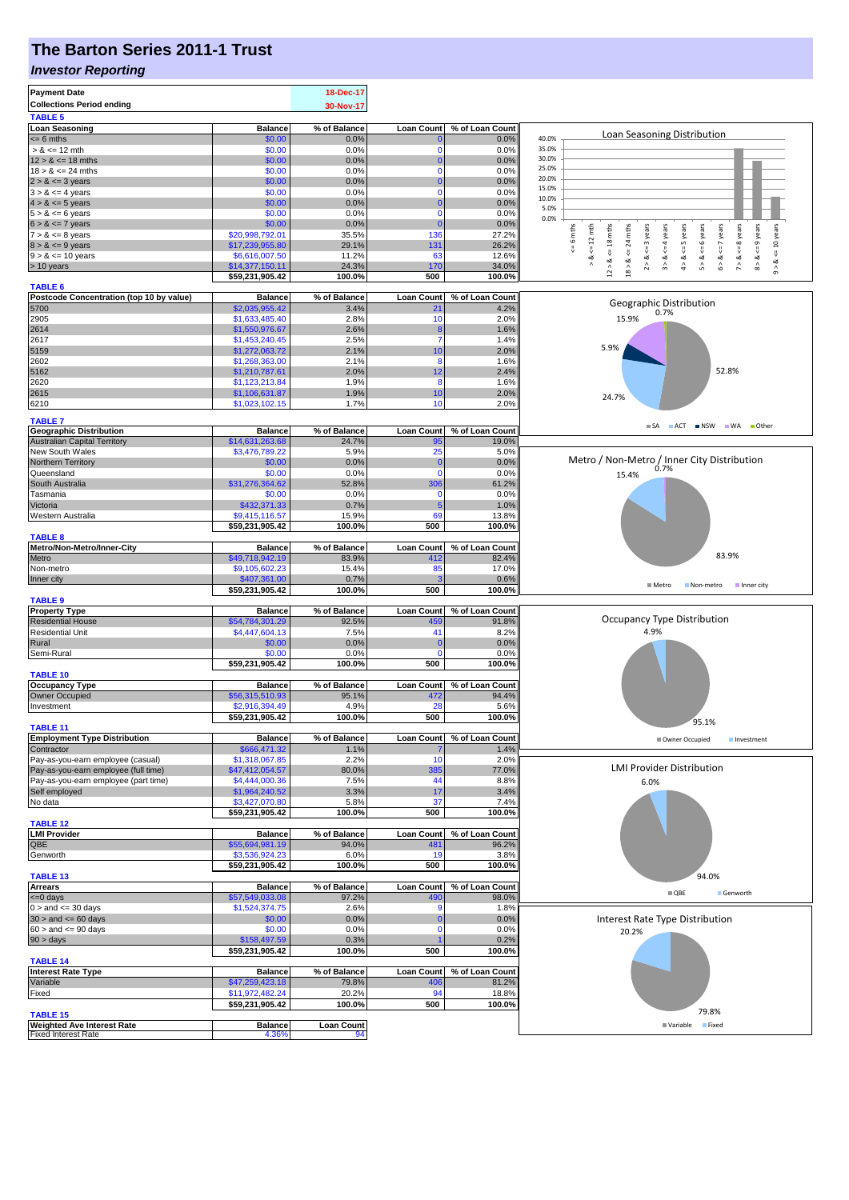# **The Barton Series 2011-1 Trust**

#### *Investor Reporting*

| <b>Payment Date</b><br><b>Collections Period ending</b><br><b>TABLE 5</b> |                                   | 18-Dec-17<br>30-Nov-17 |                         |                          |                                                                                                                                                                                                     |
|---------------------------------------------------------------------------|-----------------------------------|------------------------|-------------------------|--------------------------|-----------------------------------------------------------------------------------------------------------------------------------------------------------------------------------------------------|
| <b>Loan Seasoning</b>                                                     | <b>Balance</b>                    | % of Balance           | <b>Loan Count</b>       | % of Loan Count          |                                                                                                                                                                                                     |
| $= 6$ mths                                                                | \$0.00                            | 0.0%                   |                         | 0.0%                     | Loan Seasoning Distribution<br>40.0%                                                                                                                                                                |
| $> 8 \le 12$ mth                                                          | \$0.00                            | 0.0%                   | $\Omega$                | 0.0%                     | 35.0%                                                                                                                                                                                               |
| $12 > 8 \le 18$ mths<br>$18 > 8 \le 24$ mths                              | \$0.00<br>\$0.00                  | 0.0%<br>0.0%           | 0<br>$\Omega$           | 0.0%<br>0.0%             | 30.0%<br>25.0%                                                                                                                                                                                      |
| $2 > 8 \leq 3$ years                                                      | \$0.00                            | 0.0%                   |                         | 0.0%                     | 20.0%                                                                                                                                                                                               |
| $3 > 8 \leq 4$ years                                                      | \$0.00                            | 0.0%                   | $\Omega$                | 0.0%                     | 15.0%                                                                                                                                                                                               |
| $4 > 8 \le 5$ years                                                       | \$0.00                            | 0.0%                   |                         | 0.0%                     | 10.0%<br>5.0%                                                                                                                                                                                       |
| $5 > 8 \le 6$ years                                                       | \$0.00                            | 0.0%                   | $\Omega$                | 0.0%                     | 0.0%                                                                                                                                                                                                |
| $6 > 8 \le 7$ years<br>$7 > 8 \le 8$ years                                | \$0.00<br>\$20,998,792.01         | 0.0%<br>35.5%          | 136                     | 0.0%<br>27.2%            | 6 mths                                                                                                                                                                                              |
| $8 > 8 \le 9$ years                                                       | \$17,239,955.80                   | 29.1%                  | 131                     | 26.2%                    | $\leq$ 8 years<br>24 mths<br>$\le$ 6 years<br>$\le$ = 7 years<br>$\leq$ = 9 years<br>$\le$ = 10 years<br>$\leq 12$ mth<br>$\leq$ 18 mths<br>$\leq$ = 3 years<br>$\leq$ = 4 years<br>$\le$ = 5 years |
| $9 > 8 \le 10$ years                                                      | \$6,616,007.50                    | 11.2%                  | 63                      | 12.6%                    | $\stackrel{\scriptscriptstyle{  }}{\mathsf{v}}$<br>∞<br>ಯ<br>ಷ<br>ಷ<br>ಷ                                                                                                                            |
| > 10 years                                                                | \$14,377,150.11                   | 24.3%                  | 170                     | 34.0%                    | ⊗<br>∧<br>5 > 8<br>7 > 8<br>$12 > 8$<br>18 > 8.<br>œ<br>$\hat{\sim}$<br>$\hat{\hat{}}$<br>$\hat{4}$<br>$\hat{\circ}$<br>$\hat{\circ}$<br>$\hat{0}$                                                  |
|                                                                           | \$59,231,905.42                   | 100.0%                 | 500                     | 100.0%                   |                                                                                                                                                                                                     |
| <b>TABLE 6</b><br>Postcode Concentration (top 10 by value)                | <b>Balance</b>                    | % of Balance           | <b>Loan Count</b>       | % of Loan Count          |                                                                                                                                                                                                     |
| 5700                                                                      | \$2,035,955.42                    | 3.4%                   | 21                      | 4.2%                     | Geographic Distribution<br>0.7%                                                                                                                                                                     |
| 2905                                                                      | \$1,633,485.40                    | 2.8%                   | 10                      | 2.0%                     | 15.9%                                                                                                                                                                                               |
| 2614                                                                      | \$1,550,976.67                    | 2.6%                   |                         | 1.6%                     |                                                                                                                                                                                                     |
| 2617<br>5159                                                              | \$1,453,240.45<br>\$1,272,063.72  | 2.5%<br>2.1%           | 7<br>10                 | 1.4%<br>2.0%             | 5.9%                                                                                                                                                                                                |
| 2602                                                                      | \$1,268,363.00                    | 2.1%                   | 8                       | 1.6%                     |                                                                                                                                                                                                     |
| 5162                                                                      | \$1,210,787.61                    | 2.0%                   | 12                      | 2.4%                     | 52.8%                                                                                                                                                                                               |
| 2620                                                                      | \$1,123,213.84                    | 1.9%                   | 8                       | 1.6%                     |                                                                                                                                                                                                     |
| 2615                                                                      | \$1,106,631.87                    | 1.9%                   | 10                      | 2.0%                     | 24.7%                                                                                                                                                                                               |
| 6210                                                                      | \$1,023,102.15                    | 1.7%                   | 10                      | 2.0%                     |                                                                                                                                                                                                     |
| <b>TABLE 7</b>                                                            |                                   |                        |                         |                          | SA ACT INSW WA Other                                                                                                                                                                                |
| <b>Geographic Distribution</b><br><b>Australian Capital Territory</b>     | <b>Balance</b><br>\$14,631,263.68 | % of Balance<br>24.7%  | <b>Loan Count</b><br>95 | % of Loan Count<br>19.0% |                                                                                                                                                                                                     |
| New South Wales                                                           | \$3,476,789.22                    | 5.9%                   | 25                      | 5.0%                     |                                                                                                                                                                                                     |
| Northern Territory                                                        | \$0.00                            | 0.0%                   | 0                       | 0.0%                     | Metro / Non-Metro / Inner City Distribution<br>0.7%                                                                                                                                                 |
| Queensland                                                                | \$0.00                            | 0.0%                   | $\Omega$                | 0.0%                     | 15.4%                                                                                                                                                                                               |
| South Australia                                                           | \$31,276,364.62                   | 52.8%                  | 306                     | 61.2%                    |                                                                                                                                                                                                     |
| Tasmania<br>Victoria                                                      | \$0.00<br>\$432,371.33            | 0.0%<br>0.7%           | $\Omega$<br>5           | 0.0%<br>1.0%             |                                                                                                                                                                                                     |
| Western Australia                                                         | \$9,415,116.57                    | 15.9%                  | 69                      | 13.8%                    |                                                                                                                                                                                                     |
|                                                                           | \$59,231,905.42                   | 100.0%                 | 500                     | 100.0%                   |                                                                                                                                                                                                     |
| <b>TABLE 8</b>                                                            |                                   |                        |                         |                          |                                                                                                                                                                                                     |
| Metro/Non-Metro/Inner-City                                                | <b>Balance</b>                    | % of Balance           | <b>Loan Count</b>       | % of Loan Count          | 83.9%                                                                                                                                                                                               |
| Metro<br>Non-metro                                                        | \$49,718,942.19<br>\$9,105,602.23 | 83.9%<br>15.4%         | 412<br>85               | 82.4%<br>17.0%           |                                                                                                                                                                                                     |
| Inner city                                                                | \$407,361.00                      | 0.7%                   |                         | 0.6%                     |                                                                                                                                                                                                     |
|                                                                           | \$59,231,905.42                   | 100.0%                 | 500                     | 100.0%                   | $\blacksquare$ Metro<br>Non-metro<br>Inner city                                                                                                                                                     |
| <b>TABLE 9</b>                                                            |                                   |                        |                         |                          |                                                                                                                                                                                                     |
| <b>Property Type</b><br><b>Residential House</b>                          | <b>Balance</b><br>\$54,784,301.29 | % of Balance<br>92.5%  | <b>Loan Count</b>       | % of Loan Count<br>91.8% | Occupancy Type Distribution                                                                                                                                                                         |
| <b>Residential Unit</b>                                                   | \$4,447,604.13                    | 7.5%                   | 459<br>41               | 8.2%                     | 4.9%                                                                                                                                                                                                |
| Rural                                                                     | \$0.00                            | 0.0%                   | 0                       | 0.0%                     |                                                                                                                                                                                                     |
| Semi-Rural                                                                | \$0.00                            | 0.0%                   | $\Omega$                | 0.0%                     |                                                                                                                                                                                                     |
|                                                                           | \$59,231,905.42                   | 100.0%                 | 500                     | 100.0%                   |                                                                                                                                                                                                     |
| <b>TABLE 10</b><br><b>Occupancy Type</b>                                  | <b>Balance</b>                    | % of Balance           | <b>Loan Count</b>       | % of Loan Count          |                                                                                                                                                                                                     |
| <b>Owner Occupied</b>                                                     | \$56,315,510.93                   | 95.1%                  | 472                     | 94.4%                    |                                                                                                                                                                                                     |
| Investment                                                                | \$2,916,394.49                    | 4.9%                   | 28                      | 5.6%                     |                                                                                                                                                                                                     |
|                                                                           | \$59,231,905.42                   | 100.0%                 | 500                     | 100.0%                   | 95.1%                                                                                                                                                                                               |
| <b>TABLE 11</b><br><b>Employment Type Distribution</b>                    | <b>Balance</b>                    | % of Balance           | <b>Loan Count</b>       | % of Loan Count          | Owner Occupied<br>Investment                                                                                                                                                                        |
| Contractor                                                                | \$666,471.32                      | 1.1%                   |                         | 1.4%                     |                                                                                                                                                                                                     |
| Pay-as-you-earn employee (casual)                                         | \$1,318,067.85                    | 2.2%                   | 10                      | 2.0%                     |                                                                                                                                                                                                     |
| Pay-as-you-earn employee (full time)                                      | \$47,412,054.57                   | 80.0%                  | 385                     | 77.0%                    | <b>LMI Provider Distribution</b>                                                                                                                                                                    |
| Pay-as-you-earn employee (part time)<br>Self employed                     | \$4,444,000.36<br>\$1,964,240.52  | 7.5%<br>3.3%           | 44<br>17                | 8.8%<br>3.4%             | 6.0%                                                                                                                                                                                                |
| No data                                                                   | \$3,427,070.80                    | 5.8%                   | 37                      | 7.4%                     |                                                                                                                                                                                                     |
|                                                                           | \$59,231,905.42                   | 100.0%                 | 500                     | 100.0%                   |                                                                                                                                                                                                     |
| <b>TABLE 12</b>                                                           |                                   |                        |                         |                          |                                                                                                                                                                                                     |
| <b>LMI Provider</b>                                                       | <b>Balance</b><br>\$55,694,981.19 | % of Balance           | <b>Loan Count</b>       | % of Loan Count          |                                                                                                                                                                                                     |
| QBE<br>Genworth                                                           | \$3,536,924.23                    | 94.0%<br>6.0%          | 481<br>19               | 96.2%<br>3.8%            |                                                                                                                                                                                                     |
|                                                                           | \$59,231,905.42                   | 100.0%                 | 500                     | 100.0%                   |                                                                                                                                                                                                     |
| <b>TABLE 13</b>                                                           |                                   |                        |                         |                          | 94.0%                                                                                                                                                                                               |
| <b>Arrears</b>                                                            | <b>Balance</b>                    | % of Balance           | <b>Loan Count</b>       | % of Loan Count          | $\blacksquare$ QBE<br>Genworth                                                                                                                                                                      |
| $= 0$ days<br>$0 >$ and $\leq 30$ days                                    | \$57,549,033.08<br>\$1,524,374.75 | 97.2%<br>2.6%          | 490                     | 98.0%<br>1.8%            |                                                                                                                                                                                                     |
| $30 >$ and $\leq 60$ days                                                 | \$0.00                            | 0.0%                   |                         | 0.0%                     | Interest Rate Type Distribution                                                                                                                                                                     |
| $60 >$ and $\leq 90$ days                                                 | \$0.00                            | 0.0%                   | $\Omega$                | 0.0%                     | 20.2%                                                                                                                                                                                               |
| $90 > \text{days}$                                                        | \$158,497.59                      | 0.3%                   |                         | 0.2%                     |                                                                                                                                                                                                     |
|                                                                           | \$59,231,905.42                   | 100.0%                 | 500                     | 100.0%                   |                                                                                                                                                                                                     |
| <b>TABLE 14</b><br><b>Interest Rate Type</b>                              | <b>Balance</b>                    | % of Balance           | <b>Loan Count</b>       | % of Loan Count          |                                                                                                                                                                                                     |
| Variable                                                                  | \$47,259,423.18                   | 79.8%                  | 406                     | 81.2%                    |                                                                                                                                                                                                     |
| Fixed                                                                     | \$11,972,482.24                   | 20.2%                  | 94                      | 18.8%                    |                                                                                                                                                                                                     |
|                                                                           | \$59,231,905.42                   | 100.0%                 | 500                     | 100.0%                   | 79.8%                                                                                                                                                                                               |
| <b>TABLE 15</b><br><b>Weighted Ave Interest Rate</b>                      | <b>Balance</b>                    | <b>Loan Count</b>      |                         |                          | Variable Fixed                                                                                                                                                                                      |
| <b>Fixed Interest Rate</b>                                                | 4.36%                             |                        |                         |                          |                                                                                                                                                                                                     |